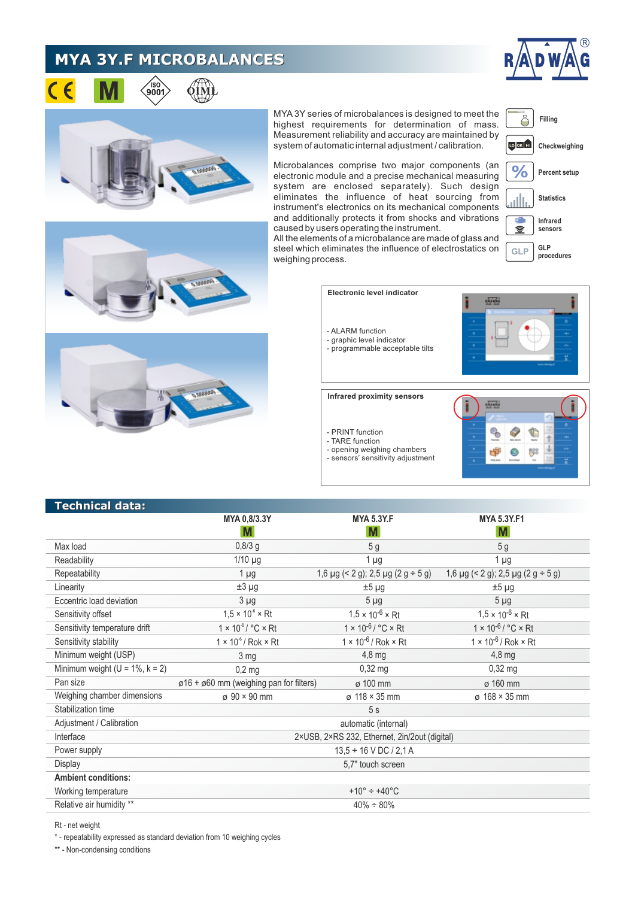## **MYA 3Y.F MICROBALANCES**







MYA 3Y series of microbalances is designed to meet the highest requirements for determination of mass. Measurement reliability and accuracy are maintained by system of automatic internal adjustment / calibration.

Microbalances comprise two major components (an electronic module and a precise mechanical measuring system are enclosed separately). Such design eliminates the influence of heat sourcing from instrument's electronics on its mechanical components and additionally protects it from shocks and vibrations caused by users operating the instrument.

**Statistics Infrared** ÷ 盒 **sensors GLP GLP procedures**

All the elements of a microbalance are made of glass and steel which eliminates the influence of electrostatics on weighing process.

> **Electronic level indicator** 应送 - ALARM function - graphic level indicator - programmable acceptable tilts **Infrared proximity sensors AFF** S - PRINT function - TARE function - opening weighing chambers  $\overline{\mathcal{L}}$ gge - sensors' sensitivity adjustment

| Technical data:                        |                                                           |                                              |                                              |
|----------------------------------------|-----------------------------------------------------------|----------------------------------------------|----------------------------------------------|
|                                        | MYA 0,8/3.3Y                                              | <b>MYA 5.3Y.F</b>                            | <b>MYA 5.3Y.F1</b>                           |
|                                        | M                                                         | M                                            | M                                            |
| Max load                               | $0,8/3$ g                                                 | 5 <sub>g</sub>                               | 5 <sub>g</sub>                               |
| Readability                            | $1/10$ µg                                                 | 1 µg                                         | $1 \mu$ g                                    |
| Repeatability                          | $1 \mu g$                                                 | 1,6 $\mu$ g (< 2 g); 2,5 $\mu$ g (2 g ÷ 5 g) | 1,6 $\mu$ g (< 2 g); 2,5 $\mu$ g (2 g ÷ 5 g) |
| Linearity                              | $±3 \mu g$                                                | $±5 \mu g$                                   | $±5 \mu g$                                   |
| Eccentric load deviation               | $3 \mu g$                                                 | $5 \mu g$                                    | $5 \mu g$                                    |
| Sensitivity offset                     | $1.5 \times 10^{6} \times Rt$                             | $1,5 \times 10^{-6} \times Rt$               | $1,5 \times 10^{-6} \times Rt$               |
| Sensitivity temperature drift          | $1 \times 10^{-6}$ / $^{\circ}$ C $\times$ Rt             | $1 \times 10^{-6} / °C \times Rt$            | $1 \times 10^{-6} / °C \times Rt$            |
| Sensitivity stability                  | $1 \times 10^{-6}$ / Rok $\times$ Rt                      | $1 \times 10^{-6}$ / Rok $\times$ Rt         | $1 \times 10^{-6}$ / Rok $\times$ Rt         |
| Minimum weight (USP)                   | 3 mg                                                      | $4,8$ mg                                     | $4,8$ mg                                     |
| Minimum weight ( $U = 1\%$ , $k = 2$ ) | $0,2$ mg                                                  | $0,32$ mg                                    | $0,32$ mg                                    |
| Pan size                               | $\varphi$ 16 + $\varphi$ 60 mm (weighing pan for filters) | ø 100 mm                                     | ø 160 mm                                     |
| Weighing chamber dimensions            | $\sigma$ 90 $\times$ 90 mm                                | ø 118 × 35 mm                                | $\sigma$ 168 $\times$ 35 mm                  |
| Stabilization time                     | 5s                                                        |                                              |                                              |
| Adjustment / Calibration               | automatic (internal)                                      |                                              |                                              |
| Interface                              | 2×USB, 2×RS 232, Ethernet, 2in/2out (digital)             |                                              |                                              |
| Power supply                           | $13,5 \div 16$ V DC / 2,1 A                               |                                              |                                              |
| Display                                | 5,7" touch screen                                         |                                              |                                              |
| <b>Ambient conditions:</b>             |                                                           |                                              |                                              |
| Working temperature                    | +10 $^{\circ}$ ÷ +40 $^{\circ}$ C                         |                                              |                                              |

 $40\% + 80\%$ 

Relative air humidity \*\*

Rt - net weight

\* - repeatability expressed as standard deviation from 10 weighing cycles

\*\* - Non-condensing conditions



**Filling**

Ö

LO OK HI

 $\%$ 

**Checkweighing**

**Percent setup**